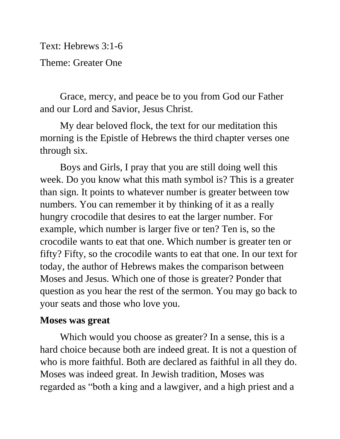Text: Hebrews 3:1-6 Theme: Greater One

Grace, mercy, and peace be to you from God our Father and our Lord and Savior, Jesus Christ.

My dear beloved flock, the text for our meditation this morning is the Epistle of Hebrews the third chapter verses one through six.

Boys and Girls, I pray that you are still doing well this week. Do you know what this math symbol is? This is a greater than sign. It points to whatever number is greater between tow numbers. You can remember it by thinking of it as a really hungry crocodile that desires to eat the larger number. For example, which number is larger five or ten? Ten is, so the crocodile wants to eat that one. Which number is greater ten or fifty? Fifty, so the crocodile wants to eat that one. In our text for today, the author of Hebrews makes the comparison between Moses and Jesus. Which one of those is greater? Ponder that question as you hear the rest of the sermon. You may go back to your seats and those who love you.

## **Moses was great**

Which would you choose as greater? In a sense, this is a hard choice because both are indeed great. It is not a question of who is more faithful. Both are declared as faithful in all they do. Moses was indeed great. In Jewish tradition, Moses was regarded as "both a king and a lawgiver, and a high priest and a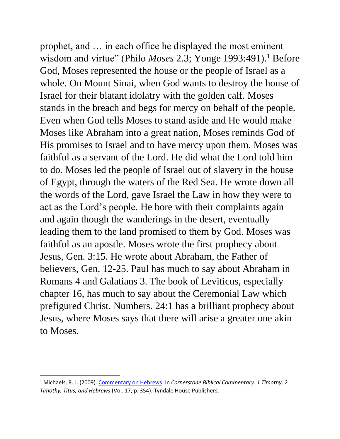prophet, and … in each office he displayed the most eminent wisdom and virtue" (Philo *Moses* 2.3; Yonge 1993:491).<sup>1</sup> Before God, Moses represented the house or the people of Israel as a whole. On Mount Sinai, when God wants to destroy the house of Israel for their blatant idolatry with the golden calf. Moses stands in the breach and begs for mercy on behalf of the people. Even when God tells Moses to stand aside and He would make Moses like Abraham into a great nation, Moses reminds God of His promises to Israel and to have mercy upon them. Moses was faithful as a servant of the Lord. He did what the Lord told him to do. Moses led the people of Israel out of slavery in the house of Egypt, through the waters of the Red Sea. He wrote down all the words of the Lord, gave Israel the Law in how they were to act as the Lord's people. He bore with their complaints again and again though the wanderings in the desert, eventually leading them to the land promised to them by God. Moses was faithful as an apostle. Moses wrote the first prophecy about Jesus, Gen. 3:15. He wrote about Abraham, the Father of believers, Gen. 12-25. Paul has much to say about Abraham in Romans 4 and Galatians 3. The book of Leviticus, especially chapter 16, has much to say about the Ceremonial Law which prefigured Christ. Numbers. 24:1 has a brilliant prophecy about Jesus, where Moses says that there will arise a greater one akin to Moses.

<sup>1</sup> Michaels, R. J. (2009). [Commentary on Hebrews.](https://ref.ly/logosres/cstonecm75ti?ref=Bible.Heb3.1-6&off=5233&ctx=er+priests+(Lev+8).+~In+Jewish+tradition%2c) In *Cornerstone Biblical Commentary: 1 Timothy, 2 Timothy, Titus, and Hebrews* (Vol. 17, p. 354). Tyndale House Publishers.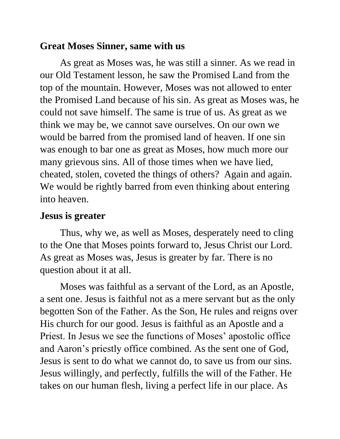## **Great Moses Sinner, same with us**

As great as Moses was, he was still a sinner. As we read in our Old Testament lesson, he saw the Promised Land from the top of the mountain. However, Moses was not allowed to enter the Promised Land because of his sin. As great as Moses was, he could not save himself. The same is true of us. As great as we think we may be, we cannot save ourselves. On our own we would be barred from the promised land of heaven. If one sin was enough to bar one as great as Moses, how much more our many grievous sins. All of those times when we have lied, cheated, stolen, coveted the things of others? Again and again. We would be rightly barred from even thinking about entering into heaven.

## **Jesus is greater**

Thus, why we, as well as Moses, desperately need to cling to the One that Moses points forward to, Jesus Christ our Lord. As great as Moses was, Jesus is greater by far. There is no question about it at all.

Moses was faithful as a servant of the Lord, as an Apostle, a sent one. Jesus is faithful not as a mere servant but as the only begotten Son of the Father. As the Son, He rules and reigns over His church for our good. Jesus is faithful as an Apostle and a Priest. In Jesus we see the functions of Moses' apostolic office and Aaron's priestly office combined. As the sent one of God, Jesus is sent to do what we cannot do, to save us from our sins. Jesus willingly, and perfectly, fulfills the will of the Father. He takes on our human flesh, living a perfect life in our place. As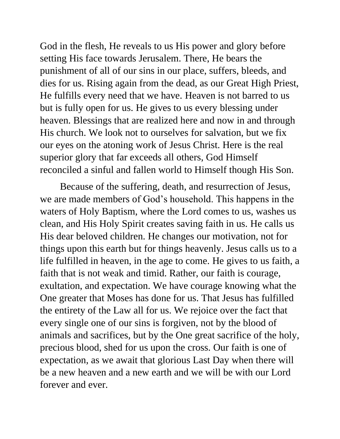God in the flesh, He reveals to us His power and glory before setting His face towards Jerusalem. There, He bears the punishment of all of our sins in our place, suffers, bleeds, and dies for us. Rising again from the dead, as our Great High Priest, He fulfills every need that we have. Heaven is not barred to us but is fully open for us. He gives to us every blessing under heaven. Blessings that are realized here and now in and through His church. We look not to ourselves for salvation, but we fix our eyes on the atoning work of Jesus Christ. Here is the real superior glory that far exceeds all others, God Himself reconciled a sinful and fallen world to Himself though His Son.

Because of the suffering, death, and resurrection of Jesus, we are made members of God's household. This happens in the waters of Holy Baptism, where the Lord comes to us, washes us clean, and His Holy Spirit creates saving faith in us. He calls us His dear beloved children. He changes our motivation, not for things upon this earth but for things heavenly. Jesus calls us to a life fulfilled in heaven, in the age to come. He gives to us faith, a faith that is not weak and timid. Rather, our faith is courage, exultation, and expectation. We have courage knowing what the One greater that Moses has done for us. That Jesus has fulfilled the entirety of the Law all for us. We rejoice over the fact that every single one of our sins is forgiven, not by the blood of animals and sacrifices, but by the One great sacrifice of the holy, precious blood, shed for us upon the cross. Our faith is one of expectation, as we await that glorious Last Day when there will be a new heaven and a new earth and we will be with our Lord forever and ever.